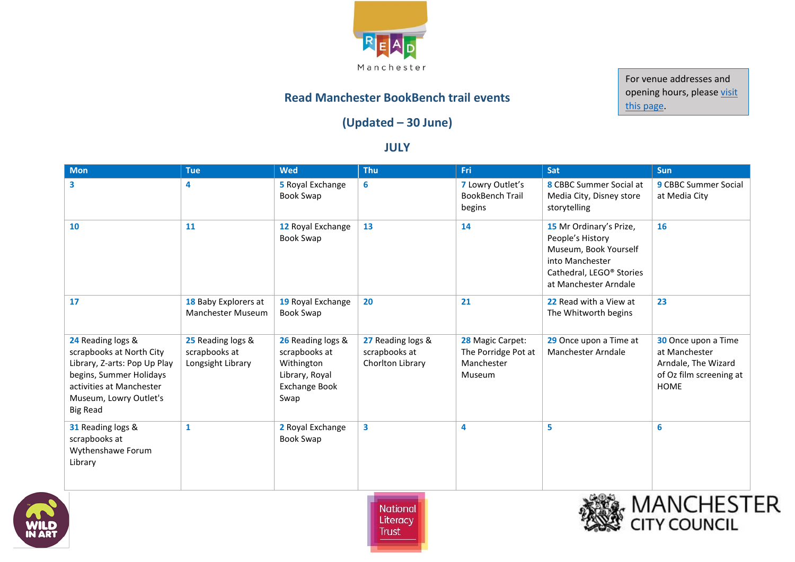

For venue addresses and opening hours, please visit [this page.](http://www.literacytrust.org.uk/communities/literacy_hubs/read_manchester_bookbench_project/venue_details)

## **Read Manchester BookBench trail events**

## **(Updated – 30 June)**

## **JULY**

| <b>Mon</b>                                                                                                                                                                        | <b>Tue</b>                                              | <b>Wed</b>                                                                                         | <b>Thu</b>                                             | Fri                                                             | Sat                                                                                                                                                      | <b>Sun</b>                                                                                            |
|-----------------------------------------------------------------------------------------------------------------------------------------------------------------------------------|---------------------------------------------------------|----------------------------------------------------------------------------------------------------|--------------------------------------------------------|-----------------------------------------------------------------|----------------------------------------------------------------------------------------------------------------------------------------------------------|-------------------------------------------------------------------------------------------------------|
| 3                                                                                                                                                                                 | 4                                                       | 5 Royal Exchange<br><b>Book Swap</b>                                                               | 6                                                      | 7 Lowry Outlet's<br><b>BookBench Trail</b><br>begins            | 8 CBBC Summer Social at<br>Media City, Disney store<br>storytelling                                                                                      | 9 CBBC Summer Social<br>at Media City                                                                 |
| 10                                                                                                                                                                                | 11                                                      | 12 Royal Exchange<br><b>Book Swap</b>                                                              | 13                                                     | 14                                                              | 15 Mr Ordinary's Prize,<br>People's History<br>Museum, Book Yourself<br>into Manchester<br>Cathedral, LEGO <sup>®</sup> Stories<br>at Manchester Arndale | 16                                                                                                    |
| 17                                                                                                                                                                                | 18 Baby Explorers at<br><b>Manchester Museum</b>        | 19 Royal Exchange<br><b>Book Swap</b>                                                              | 20                                                     | 21                                                              | 22 Read with a View at<br>The Whitworth begins                                                                                                           | 23                                                                                                    |
| 24 Reading logs &<br>scrapbooks at North City<br>Library, Z-arts: Pop Up Play<br>begins, Summer Holidays<br>activities at Manchester<br>Museum, Lowry Outlet's<br><b>Big Read</b> | 25 Reading logs &<br>scrapbooks at<br>Longsight Library | 26 Reading logs &<br>scrapbooks at<br>Withington<br>Library, Royal<br><b>Exchange Book</b><br>Swap | 27 Reading logs &<br>scrapbooks at<br>Chorlton Library | 28 Magic Carpet:<br>The Porridge Pot at<br>Manchester<br>Museum | 29 Once upon a Time at<br>Manchester Arndale                                                                                                             | 30 Once upon a Time<br>at Manchester<br>Arndale, The Wizard<br>of Oz film screening at<br><b>HOME</b> |
| 31 Reading logs &<br>scrapbooks at<br>Wythenshawe Forum<br>Library                                                                                                                | 1                                                       | 2 Royal Exchange<br><b>Book Swap</b>                                                               | 3                                                      | 4                                                               | 5                                                                                                                                                        | 6                                                                                                     |





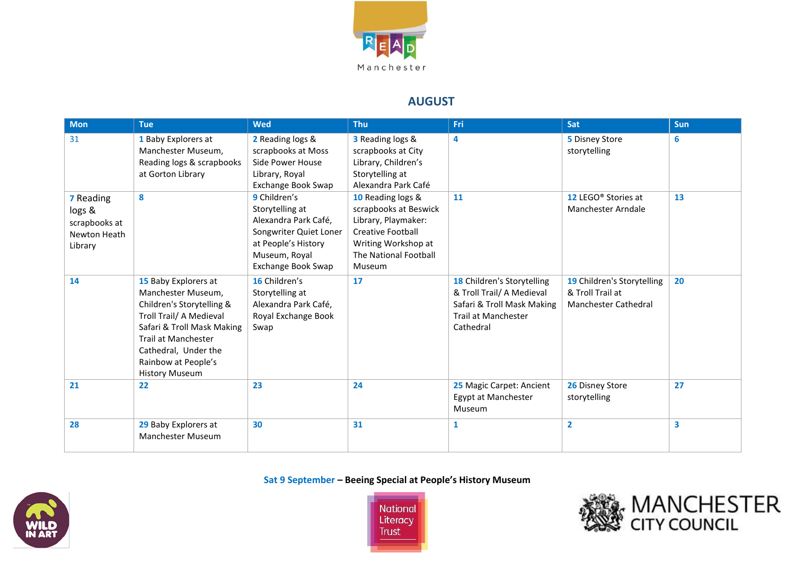

### **AUGUST**

| <b>Mon</b>                                                             | <b>Tue</b>                                                                                                                                                                                                                      | <b>Wed</b>                                                                                                                                             | <b>Thu</b>                                                                                                                                              | Fri                                                                                                                       | Sat                                                                    | <b>Sun</b>              |
|------------------------------------------------------------------------|---------------------------------------------------------------------------------------------------------------------------------------------------------------------------------------------------------------------------------|--------------------------------------------------------------------------------------------------------------------------------------------------------|---------------------------------------------------------------------------------------------------------------------------------------------------------|---------------------------------------------------------------------------------------------------------------------------|------------------------------------------------------------------------|-------------------------|
| 31                                                                     | 1 Baby Explorers at<br>Manchester Museum,<br>Reading logs & scrapbooks<br>at Gorton Library                                                                                                                                     | 2 Reading logs &<br>scrapbooks at Moss<br>Side Power House<br>Library, Royal<br>Exchange Book Swap                                                     | 3 Reading logs &<br>scrapbooks at City<br>Library, Children's<br>Storytelling at<br>Alexandra Park Café                                                 | 4                                                                                                                         | 5 Disney Store<br>storytelling                                         | 6                       |
| <b>7</b> Reading<br>logs &<br>scrapbooks at<br>Newton Heath<br>Library | 8                                                                                                                                                                                                                               | 9 Children's<br>Storytelling at<br>Alexandra Park Café,<br>Songwriter Quiet Loner<br>at People's History<br>Museum, Royal<br><b>Exchange Book Swap</b> | 10 Reading logs &<br>scrapbooks at Beswick<br>Library, Playmaker:<br><b>Creative Football</b><br>Writing Workshop at<br>The National Football<br>Museum | 11                                                                                                                        | 12 LEGO <sup>®</sup> Stories at<br>Manchester Arndale                  | 13                      |
| 14                                                                     | 15 Baby Explorers at<br>Manchester Museum,<br>Children's Storytelling &<br>Troll Trail/ A Medieval<br>Safari & Troll Mask Making<br>Trail at Manchester<br>Cathedral, Under the<br>Rainbow at People's<br><b>History Museum</b> | 16 Children's<br>Storytelling at<br>Alexandra Park Café,<br>Royal Exchange Book<br>Swap                                                                | 17                                                                                                                                                      | 18 Children's Storytelling<br>& Troll Trail/ A Medieval<br>Safari & Troll Mask Making<br>Trail at Manchester<br>Cathedral | 19 Children's Storytelling<br>& Troll Trail at<br>Manchester Cathedral | 20                      |
| 21                                                                     | 22                                                                                                                                                                                                                              | 23                                                                                                                                                     | 24                                                                                                                                                      | 25 Magic Carpet: Ancient<br>Egypt at Manchester<br>Museum                                                                 | 26 Disney Store<br>storytelling                                        | 27                      |
| 28                                                                     | 29 Baby Explorers at<br><b>Manchester Museum</b>                                                                                                                                                                                | 30                                                                                                                                                     | 31                                                                                                                                                      | 1                                                                                                                         | $\overline{2}$                                                         | $\overline{\mathbf{3}}$ |

**Sat 9 September – Beeing Special at People's History Museum**





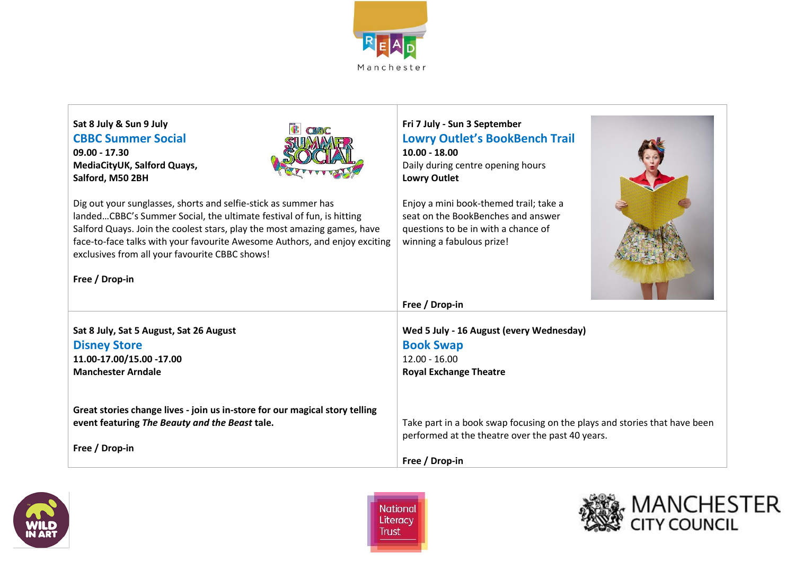

| Sat 8 July & Sun 9 July<br><b>CBBC Summer Social</b><br>$09.00 - 17.30$<br>MediaCityUK, Salford Quays,<br>Salford, M50 2BH<br>Dig out your sunglasses, shorts and selfie-stick as summer has<br>landedCBBC's Summer Social, the ultimate festival of fun, is hitting<br>Salford Quays. Join the coolest stars, play the most amazing games, have<br>face-to-face talks with your favourite Awesome Authors, and enjoy exciting<br>exclusives from all your favourite CBBC shows!<br>Free / Drop-in | Fri 7 July - Sun 3 September<br><b>Lowry Outlet's BookBench Trail</b><br>$10.00 - 18.00$<br>Daily during centre opening hours<br><b>Lowry Outlet</b><br>Enjoy a mini book-themed trail; take a<br>seat on the BookBenches and answer<br>questions to be in with a chance of<br>winning a fabulous prize! |
|----------------------------------------------------------------------------------------------------------------------------------------------------------------------------------------------------------------------------------------------------------------------------------------------------------------------------------------------------------------------------------------------------------------------------------------------------------------------------------------------------|----------------------------------------------------------------------------------------------------------------------------------------------------------------------------------------------------------------------------------------------------------------------------------------------------------|
|                                                                                                                                                                                                                                                                                                                                                                                                                                                                                                    | Free / Drop-in                                                                                                                                                                                                                                                                                           |
| Sat 8 July, Sat 5 August, Sat 26 August                                                                                                                                                                                                                                                                                                                                                                                                                                                            | Wed 5 July - 16 August (every Wednesday)                                                                                                                                                                                                                                                                 |
| <b>Disney Store</b>                                                                                                                                                                                                                                                                                                                                                                                                                                                                                | <b>Book Swap</b>                                                                                                                                                                                                                                                                                         |
| 11.00-17.00/15.00 -17.00                                                                                                                                                                                                                                                                                                                                                                                                                                                                           | $12.00 - 16.00$                                                                                                                                                                                                                                                                                          |
| <b>Manchester Arndale</b>                                                                                                                                                                                                                                                                                                                                                                                                                                                                          | <b>Royal Exchange Theatre</b>                                                                                                                                                                                                                                                                            |
| Great stories change lives - join us in-store for our magical story telling<br>event featuring The Beauty and the Beast tale.<br>Free / Drop-in                                                                                                                                                                                                                                                                                                                                                    | Take part in a book swap focusing on the plays and stories that have been<br>performed at the theatre over the past 40 years.<br>Free / Drop-in                                                                                                                                                          |





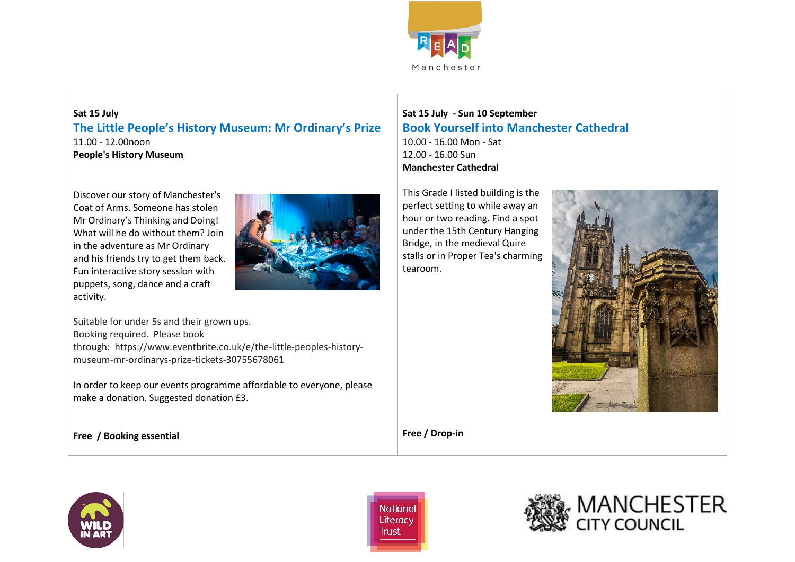

### **Sat 15 July The Little People's History Museum: Mr Ordinary's Prize** 11.00 - 12.00noon **People's History Museum**

Discover our story of Manchester's Coat of Arms. Someone has stolen Mr Ordinary's Thinking and Doing! What will he do without them? Join in the adventure as Mr Ordinary and his friends try to get them back. Fun interactive story session with puppets, song, dance and a craft activity.



Suitable for under 5s and their grown ups. Booking required. Please book through: https://www.eventbrite.co.uk/e/the-little-peoples-historymuseum-mr-ordinarys-prize-tickets-30755678061

In order to keep our events programme affordable to everyone, please make a donation. Suggested donation £3.

**Sat 15 July - Sun 10 September Book Yourself into Manchester Cathedral** 10.00 - 16.00 Mon - Sat 12.00 - 16.00 Sun **Manchester Cathedral**

This Grade I listed building is the perfect setting to while away an hour or two reading. Find a spot under the 15th Century Hanging Bridge, in the medieval Quire stalls or in Proper Tea's charming tearoom.



**Free / Drop-in**

**Free / Booking essential**





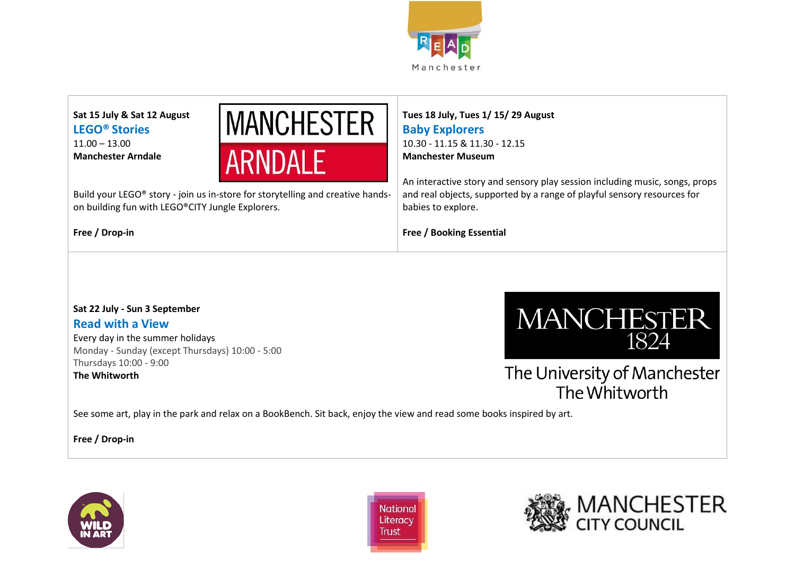

**Sat 15 July & Sat 12 August LEGO® Stories** 11.00 – 13.00 **Manchester Arndale**



Build your LEGO® story - join us in-store for storytelling and creative handson building fun with LEGO®CITY Jungle Explorers.

**Free / Drop-in**

### **Tues 18 July, Tues 1/ 15/ 29 August Baby Explorers** 10.30 - 11.15 & 11.30 - 12.15 **Manchester Museum**

An interactive story and sensory play session including music, songs, props and real objects, supported by a range of playful sensory resources for babies to explore.

**Free / Booking Essential**

## **Sat 22 July - Sun 3 September Read with a View**

Every day in the summer holidays Monday - Sunday (except Thursdays) 10:00 - 5:00 Thursdays 10:00 - 9:00 **The Whitworth**



The University of Manchester The Whitworth

See some art, play in the park and relax on a BookBench. Sit back, enjoy the view and read some books inspired by art.

**Free / Drop-in** 





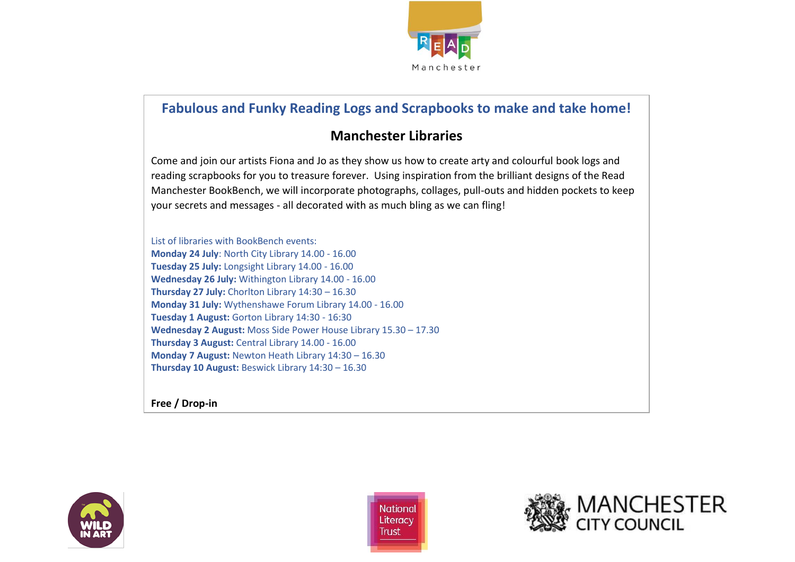

## **Fabulous and Funky Reading Logs and Scrapbooks to make and take home!**

## **Manchester Libraries**

Come and join our artists Fiona and Jo as they show us how to create arty and colourful book logs and reading scrapbooks for you to treasure forever. Using inspiration from the brilliant designs of the Read Manchester BookBench, we will incorporate photographs, collages, pull-outs and hidden pockets to keep your secrets and messages - all decorated with as much bling as we can fling!

List of libraries with BookBench events: **Monday 24 July**: North City Library 14.00 - 16.00 **Tuesday 25 July:** Longsight Library 14.00 - 16.00 **Wednesday 26 July:** Withington Library 14.00 - 16.00 **Thursday 27 July:** Chorlton Library 14:30 – 16.30 **Monday 31 July:** Wythenshawe Forum Library 14.00 - 16.00 **Tuesday 1 August:** Gorton Library 14:30 - 16:30 **Wednesday 2 August:** Moss Side Power House Library 15.30 – 17.30 **Thursday 3 August:** Central Library 14.00 - 16.00 **Monday 7 August:** Newton Heath Library 14:30 – 16.30 **Thursday 10 August:** Beswick Library 14:30 – 16.30

**Free / Drop-in**





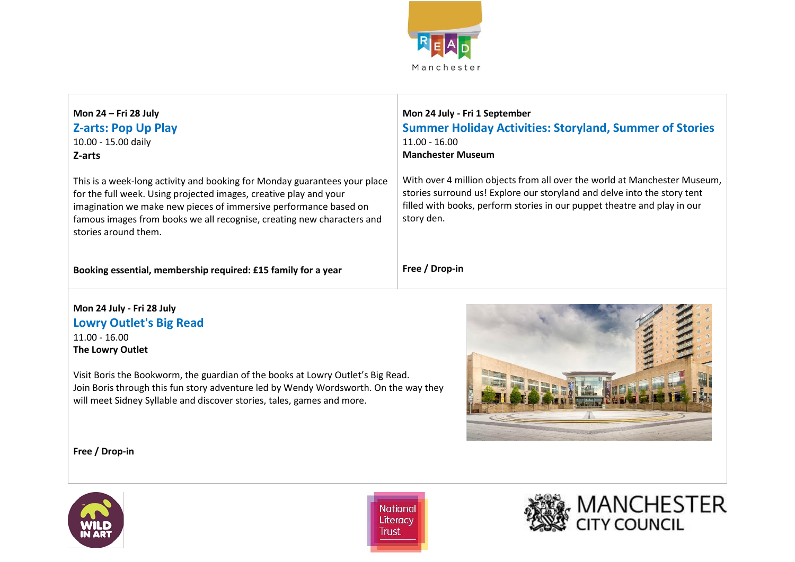

| Mon 24 - Fri 28 July<br><b>Z-arts: Pop Up Play</b><br>10.00 - 15.00 daily<br>Z-arts                                                                                                                                                                                                                                  | Mon 24 July - Fri 1 September<br><b>Summer Holiday Activities: Storyland, Summer of Stories</b><br>$11.00 - 16.00$<br><b>Manchester Museum</b>                                                                                                  |
|----------------------------------------------------------------------------------------------------------------------------------------------------------------------------------------------------------------------------------------------------------------------------------------------------------------------|-------------------------------------------------------------------------------------------------------------------------------------------------------------------------------------------------------------------------------------------------|
| This is a week-long activity and booking for Monday guarantees your place<br>for the full week. Using projected images, creative play and your<br>imagination we make new pieces of immersive performance based on<br>famous images from books we all recognise, creating new characters and<br>stories around them. | With over 4 million objects from all over the world at Manchester Museum,<br>stories surround us! Explore our storyland and delve into the story tent<br>filled with books, perform stories in our puppet theatre and play in our<br>story den. |
| Booking essential, membership required: £15 family for a year                                                                                                                                                                                                                                                        | Free / Drop-in                                                                                                                                                                                                                                  |

#### **Mon 24 July - Fri 28 July Lowry Outlet's Big Read** 11.00 - 16.00 **The Lowry Outlet**

Visit Boris the Bookworm, the guardian of the books at Lowry Outlet's Big Read. Join Boris through this fun story adventure led by Wendy Wordsworth. On the way they will meet Sidney Syllable and discover stories, tales, games and more.



**Free / Drop-in**



National Literacy **Trust** 

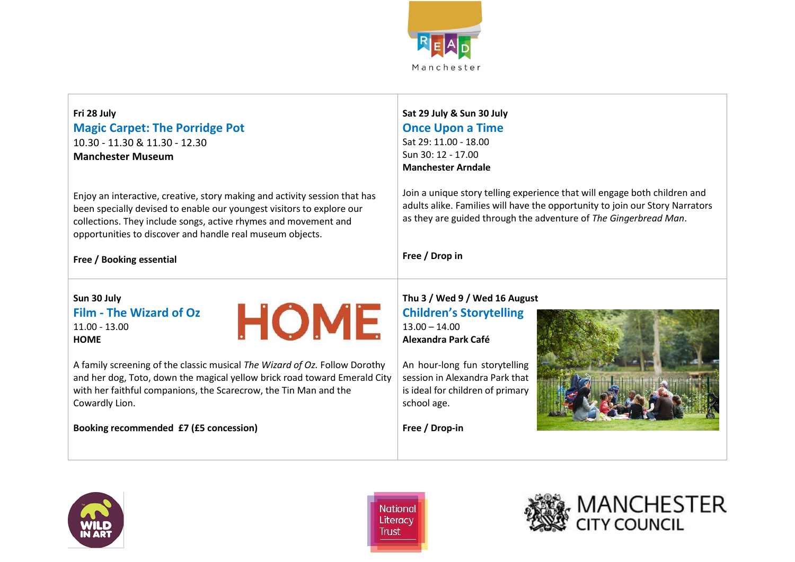

### **Fri 28 July Magic Carpet: The Porridge Pot** 10.30 - 11.30 & 11.30 - 12.30 **Manchester Museum**

Enjoy an interactive, creative, story making and activity session that has been specially devised to enable our youngest visitors to explore our collections. They include songs, active rhymes and movement and opportunities to discover and handle real museum objects.

#### **Sat 29 July & Sun 30 July Once Upon a Time** Sat 29: 11.00 - 18.00  $S$ un 30: 12 - 17.00 **Manchester Arndale**

Join a unique story telling experience that will engage both children and adults alike. Families will have the opportunity to join our Story Narrators as they are guided through the adventure of *The Gingerbread Man*.

#### **Free / Booking essential**

**Free / Drop in**

#### **Sun 30 July Film - The Wizard of Oz** 11.00 - 13.00 **HOME**



A family screening of the classic musical *The Wizard of Oz.* Follow Dorothy and her dog, Toto, down the magical yellow brick road toward Emerald City with her faithful companions, the Scarecrow, the Tin Man and the Cowardly Lion.

**Booking recommended £7 (£5 concession)**

# **Thu 3 / Wed 9 / Wed 16 August Children's Storytelling**

13.00 – 14.00 **Alexandra Park Café**

An hour-long fun storytelling session in Alexandra Park that is ideal for children of primary school age.

**Free / Drop-in**





National Literacy Trust

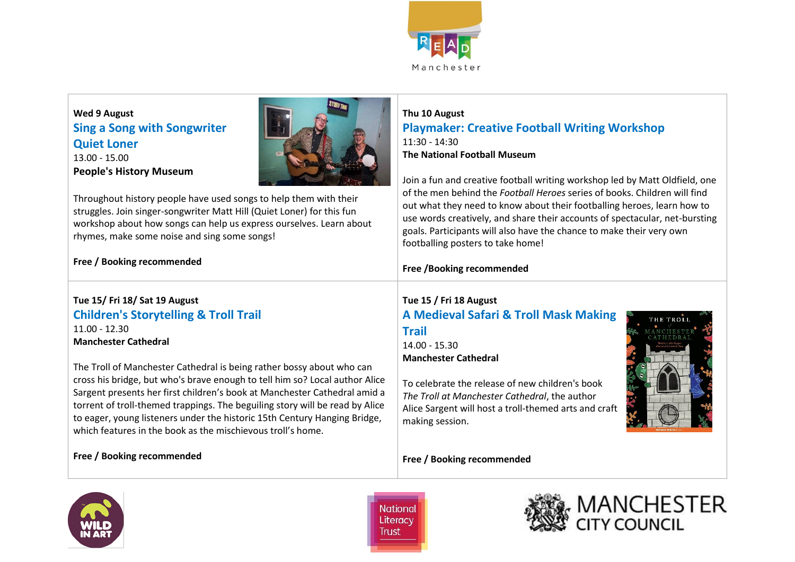

### **Wed 9 August Sing a Song with Songwriter Quiet Loner** 13.00 - 15.00 **People's History Museum**



Throughout history people have used songs to help them with their struggles. Join singer-songwriter Matt Hill (Quiet Loner) for this fun workshop about how songs can help us express ourselves. Learn about rhymes, make some noise and sing some songs!

#### **Thu 10 August Playmaker: Creative Football Writing Workshop** 11:30 - 14:30 **The National Football Museum**

Join a fun and creative football writing workshop led by Matt Oldfield, one of the men behind the *Football Heroes* series of books. Children will find out what they need to know about their footballing heroes, learn how to use words creatively, and share their accounts of spectacular, net-bursting goals. Participants will also have the chance to make their very own footballing posters to take home!

## **Free / Booking recommended**

### **Tue 15/ Fri 18/ Sat 19 August Children's Storytelling & Troll Trail** 11.00 - 12.30

**Manchester Cathedral**

The Troll of Manchester Cathedral is being rather bossy about who can cross his bridge, but who's brave enough to tell him so? Local author Alice Sargent presents her first children's book at Manchester Cathedral amid a torrent of troll-themed trappings. The beguiling story will be read by Alice to eager, young listeners under the historic 15th Century Hanging Bridge, which features in the book as the mischievous troll's home.

#### **Free / Booking recommended**

## **Free /Booking recommended**

## **Tue 15 / Fri 18 August A Medieval Safari & Troll Mask Making Trail**

14.00 - 15.30 **Manchester Cathedral**

To celebrate the release of new children's book *The Troll at Manchester Cathedral*, the author Alice Sargent will host a troll-themed arts and craft making session.

**Free / Booking recommended** 



National Literacy Trust



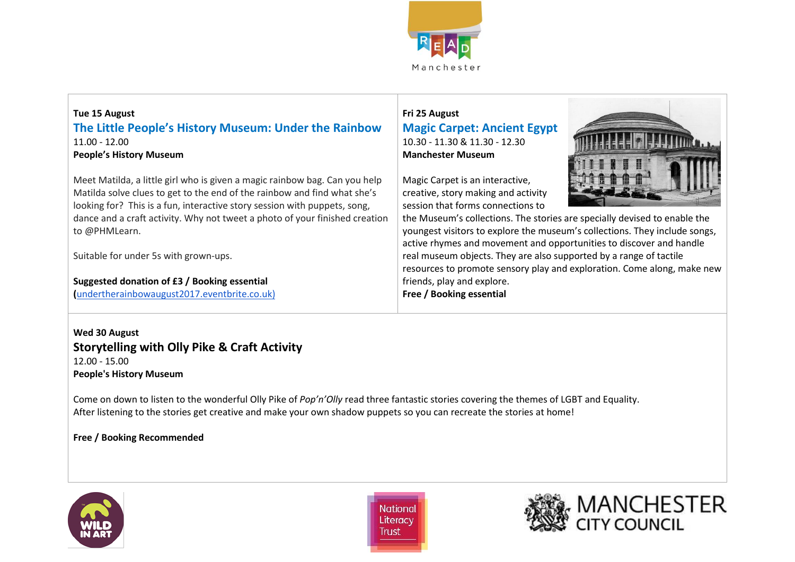

### **Tue 15 August The Little People's History Museum: Under the Rainbow** 11.00 - 12.00 **People's History Museum**

Meet Matilda, a little girl who is given a magic rainbow bag. Can you help Matilda solve clues to get to the end of the rainbow and find what she's looking for? This is a fun, interactive story session with puppets, song, dance and a craft activity. Why not tweet a photo of your finished creation to @PHMLearn.

Suitable for under 5s with grown-ups.

**Suggested donation of £3 / Booking essential**

**(**[undertherainbowaugust2017.eventbrite.co.uk\)](https://undertherainbowaugust2017.eventbrite.co.uk/)

### **Fri 25 August Magic Carpet: Ancient Egypt** 10.30 - 11.30 & 11.30 - 12.30 **Manchester Museum**

Magic Carpet is an interactive, creative, story making and activity session that forms connections to



the Museum's collections. The stories are specially devised to enable the youngest visitors to explore the museum's collections. They include songs, active rhymes and movement and opportunities to discover and handle real museum objects. They are also supported by a range of tactile resources to promote sensory play and exploration. Come along, make new friends, play and explore. **Free / Booking essential**

**Wed 30 August Storytelling with Olly Pike & Craft Activity** 12.00 - 15.00 **People's History Museum**

Come on down to listen to the wonderful Olly Pike of *Pop'n'Olly* read three fantastic stories covering the themes of LGBT and Equality. After listening to the stories get creative and make your own shadow puppets so you can recreate the stories at home!

**Free / Booking Recommended**